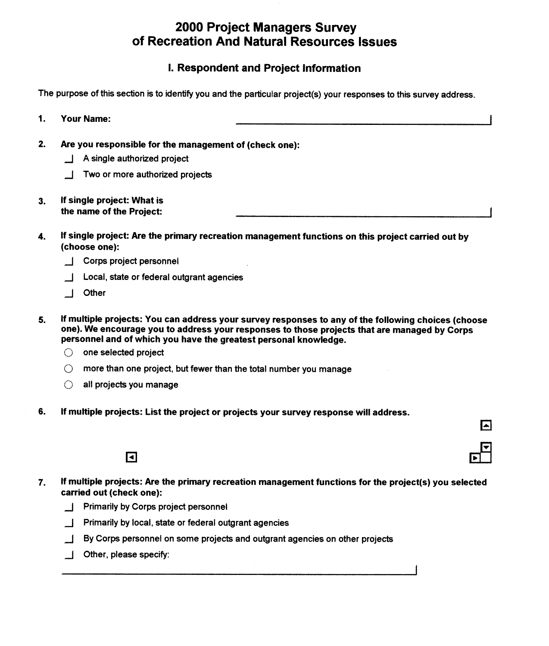# 2000 Project Managers Survey of Recreation And Natural Resources Issues

# I. Respondent and Project Information

The purpose of this section is to identify you and the particular project(s) your responses to this survey address.

- Your Name: I  $\mathbf{1}$ .
- $2.$ Are you responsible for the management of (check one):
	- J A single authorized project
	- Two or more authorized projects
- If single project: What is  $3<sub>1</sub>$ the name of the Project:
- If single project: Are the primary recreation management functions on this project carried out by 4. (choose one):
	- Corps project personnel
	- Local, state or federal outgrant agencies
	- \_I Other
- If multiple projects: You can address your survey responses to any of the following choices (choose 5. one). We encourage you to address your responses to those projects that are managed by Corps personnel and of which you have the greatest personal knowledge.
	- $\bigcirc$  one selected project
	- $\bigcirc$  more than one project, but fewer than the total number you manage
	- $\bigcirc$  all projects you manage
- 6. If multiple projects: List the project or projects your survey response will address.



If multiple projects: Are the primary recreation management functions for the project(s) you selected 7. carried out (check one):

⊡

- \_I Primarily by Corps project personnel
- \_I Primarily by local, state or federal outgrant agencies
- \_I By Corps personnel on some projects and outgrant agencies on other projects
- J Other, please specify: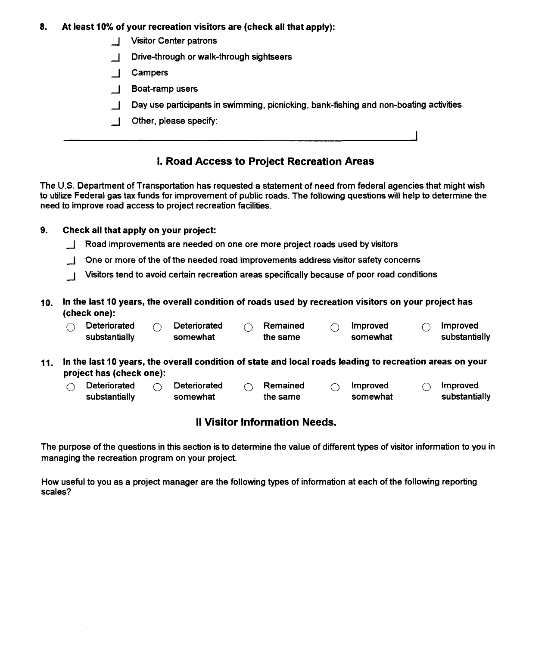#### **8. At least 10% of your recreation visitors are (check all that apply):**

- **Visitor Center patrons**
- \_I Drive-through or walk-through sightseers
- \_I Campers
- \_I Boat-ramp users
- $\Box$  Day use participants in swimming, picnicking, bank-fishing and non-boating activities
- \_I Other, please specify:

# **I. Road Access to Project Recreation Areas**

The **U.S.** Department of Transportation has requested a statement of need from federal agencies that might wish to utilize Federal gas tax funds for improvement of public roads. The following questions will help to determine the need to improve road access to project recreation facilities.

### **9. Check all that apply on your project:**

- J Road improvements are needed on one ore more project roads used by visitors
- J One or more of the of the needed road improvements address visitor safety concerns
- J Visitors tend to avoid certain recreation areas specifically because of poor road conditions
- **10. In the last 10 years, the overall condition of roads used by recreation visitors on your project has (check one):**

| LIIGUN UIIGI. |                     |  |              |  |          |  |          |  |               |  |  |
|---------------|---------------------|--|--------------|--|----------|--|----------|--|---------------|--|--|
|               | <b>Deteriorated</b> |  | Deteriorated |  | Remained |  | Improved |  | Improved      |  |  |
|               | substantially       |  | somewhat     |  | the same |  | somewhat |  | substantially |  |  |

- **11. In the last 10 years, the overall condition of state and local roads leading to recreation areas on your project has (check one):** 
	- rroject has (check one):<br>① Deteriorated ① Deteriorated ① Remained ① Improved ① Improved substantially somewhat the same somewhat substantially

## **II Visitor Information Needs.**

The purpose of the questions in this section is to determine the value of different types of visitor information to you in managing the recreation program on your project.

How useful to you as a project manager are the following types of information at each of the following reporting scales?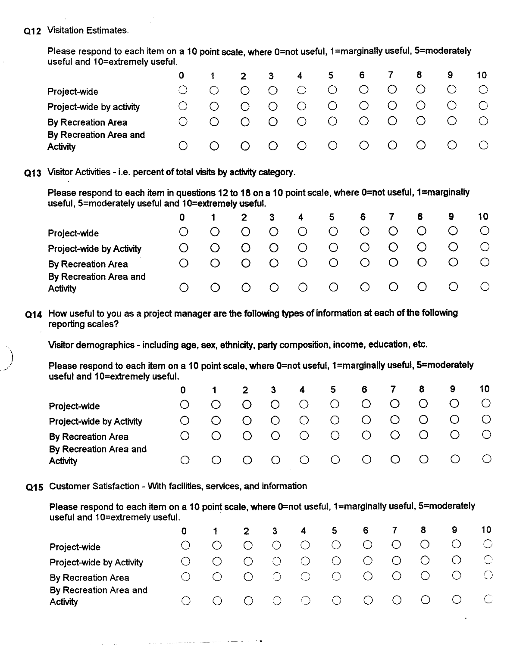#### **Q12** Visitation Estimates.

Please respond to each item on a 10 point scale, where 0=not useful, 1=marginally useful, 5=moderately useful and 10=extremely useful.

|                           |            | -2     | - 3-    | 4         | 5.         | 6                            |         |         | 9 | 10 |  |
|---------------------------|------------|--------|---------|-----------|------------|------------------------------|---------|---------|---|----|--|
| Project-wide              | $\bigcirc$ |        | $\circ$ | $\circ$   | $\bigcirc$ |                              | $\circ$ |         |   |    |  |
| Project-wide by activity  | ∩          |        | $\circ$ | $\circ$   | $\circ$    |                              | $\circ$ |         |   |    |  |
| <b>By Recreation Area</b> | ∩          | $\cap$ | $\circ$ | $\circ$ O | $\circ$    | $\circ$                      | $\circ$ | O       |   |    |  |
| By Recreation Area and    |            |        |         |           |            |                              |         |         |   |    |  |
| <b>Activity</b>           |            |        | $\circ$ | $\circ$ O | $\circ$    | $\bigcirc$ . Only $\bigcirc$ | $\circ$ | $\circ$ |   |    |  |

Q13 Visitor Activies - i.e. percent of total **visits** by activity category.

Please respond to each item in questions 12 to 18 on a 10 point scale, where 0=not useful, 1=marginally useful, 5=moderately useful and 10=extremely useful.

|                                    |                  | $2^{\circ}$ |         | 4          | 5.      | -6      |         | 8       | 9 | 10         |
|------------------------------------|------------------|-------------|---------|------------|---------|---------|---------|---------|---|------------|
| Project-wide                       |                  | $\cap$      | $\circ$ | O          | $\circ$ | O       | O       | $\circ$ |   | $\bigcirc$ |
| Project-wide by Activity           |                  | O           | $\circ$ | $\circ$    | $\circ$ | Ő       | $\circ$ |         |   |            |
| <b>By Recreation Area</b>          | $\left( \right)$ |             | $\circ$ | $\bigcirc$ | $\circ$ | Ő       | $\circ$ |         |   |            |
| By Recreation Area and<br>Activity |                  |             | $\circ$ | $\bigcirc$ | $\circ$ | $\circ$ | $\circ$ |         |   |            |
|                                    |                  |             |         |            |         |         |         |         |   |            |

Q14 How useful to you as a project manager are the following types of information at each of the following reporting scales?

Visitor demographics - including age, sex, ethnicity, party composition, income, education, etc.

Please respond to each item on a 10 point scale, where 0=not useful, 1=marginally useful, 5=moderately useful and 10=extremely useful.

|                                           |  |    | 3             | $\overline{4}$   | 5.             | 6         |            | 8                                             | 9                | 10 |
|-------------------------------------------|--|----|---------------|------------------|----------------|-----------|------------|-----------------------------------------------|------------------|----|
| Project-wide                              |  |    |               | $\bigcirc$       | O.             | $\circ$   |            |                                               |                  |    |
| Project-wide by Activity                  |  | () | <sup>()</sup> | $\circ$          | $\bigcirc$     | $\circ$   |            |                                               |                  |    |
| <b>By Recreation Area</b>                 |  |    | $\bigcirc$    | $\bigcirc$       | $\circ$        | $\circ$   |            |                                               |                  |    |
| By Recreation Area and<br><b>Activity</b> |  |    | $\bigcirc$    | $\left( \right)$ | $\overline{O}$ | $\circ$ O | $\left($ ) | $\left( \begin{array}{c} \end{array} \right)$ | $\left( \right)$ |    |

415 Customer Satisfaction - With facilities, services, and information

Please respond to each item on a 10 point scale, where 0=not useful, 1=marginally useful, 5=moderately useful and 10=extremely useful.

| -6<br>$\overline{\mathbf{4}}$<br>5<br>3<br>0                                                                                        | - 8<br>- 9         | 10             |
|-------------------------------------------------------------------------------------------------------------------------------------|--------------------|----------------|
| $\bigcirc$<br>$\bigcirc$<br>$\bigcap$<br>Project-wide                                                                               | $\circ$            |                |
| $\circ$<br>$\circ$<br>O<br>$\cap$<br>Project-wide by Activity                                                                       | $\circ$<br>$\circ$ | $\circledcirc$ |
| $\circlearrowright$<br>$\circ$<br>$\bigcirc$<br>- 63<br>By Recreation Area                                                          | $\bigcirc$         |                |
| By Recreation Area and<br>$\circ$<br>$\circ$ O<br>$\circ$ O<br>$\circ$ O<br>$\left(\begin{array}{c} \end{array}\right)$<br>Activity | $\circ$            | - O            |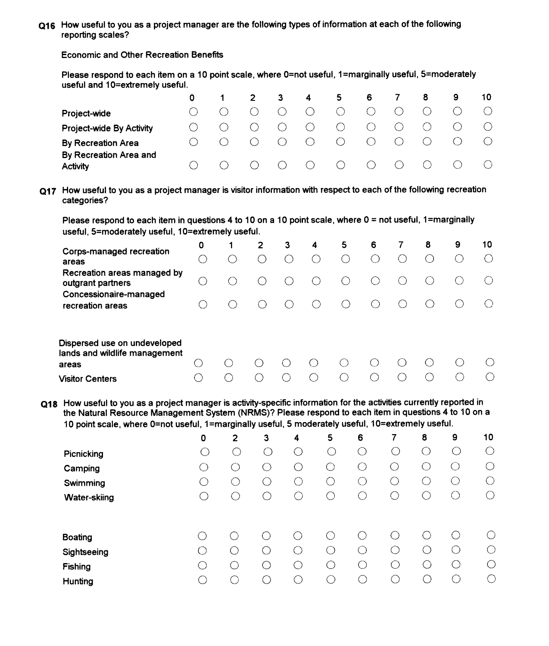**Q16** How useful to you as a project manager are the following types of information at each of the following reporting scales?

Economic and Other Recreation Benefrts

Please respond to each item on a 10 point scale, where 0=not useful, 1=marginally useful, 5=moderately useful and 10=extremely useful.

|                           | 0.        | $\sim$ 1 $\sim$                             |                 | 2 3        | $\overline{4}$ | 56                                                     |                     | <b>7</b>                                          | 8                        | 9.         | 10 |  |
|---------------------------|-----------|---------------------------------------------|-----------------|------------|----------------|--------------------------------------------------------|---------------------|---------------------------------------------------|--------------------------|------------|----|--|
| Project-wide              | $\bigcap$ | $\bigcirc$                                  | $\circ$ $\circ$ |            | $\ddot{C}$     | $\circ$ O                                              | $\circlearrowright$ | $\left( \begin{array}{c} \end{array} \right)$     | $\bigcirc$               |            |    |  |
| Project-wide By Activity  | $\bigcap$ | ( )                                         | $\circ$ O       | $\circ$ O  | $\circ$ O      | $\circ$ O                                              | $\circlearrowright$ | $\circ$ O                                         |                          |            |    |  |
| <b>By Recreation Area</b> |           | $\left(\begin{array}{c} \end{array}\right)$ | $\overline{O}$  | $\bigcirc$ | $\overline{O}$ | $\overline{O}$                                         | $\bigcirc$          |                                                   |                          |            |    |  |
| By Recreation Area and    |           |                                             | $\bigcirc$      |            |                |                                                        |                     |                                                   |                          |            |    |  |
| <b>Activity</b>           |           | $\left(\begin{array}{c} \end{array}\right)$ |                 |            |                | $\begin{array}{ccccccccc}\n0 & 0 & 0 & 0\n\end{array}$ |                     | $\overline{\phantom{a}}$ $\overline{\phantom{a}}$ | $\overline{\phantom{0}}$ | $\sqrt{2}$ |    |  |

**~17** How useful to you as a project manager is visitor information with respect to each of the following recreation categories?

Please respond to each item in questions 4 to 10 on a 10 point scale, where 0 = not useful, 1=marginally useful, 5=moderately useful, 10=extremely useful.

| Corps-managed recreation<br>areas                                          | 0<br>$(\ )$ | 1. | $\mathbf{2}$ | 3 | 4 | 5<br>( ) | 6 | 7                      | 8        | 9 | 10 |
|----------------------------------------------------------------------------|-------------|----|--------------|---|---|----------|---|------------------------|----------|---|----|
| Recreation areas managed by<br>outgrant partners<br>Concessionaire-managed |             |    |              |   |   | ( )      |   | $\left( \quad \right)$ |          |   |    |
| recreation areas                                                           |             |    |              |   |   | $\Box$   |   |                        |          |   |    |
| Dispersed use on undeveloped<br>lands and wildlife management<br>areas     |             |    |              |   |   |          |   |                        | $\left($ |   |    |
| <b>Visitor Centers</b>                                                     |             |    |              |   |   |          |   |                        |          |   |    |

Q18 How useful to you as a project manager is activity-specific information for the activities currently reported in the Natural Resource Management System (NRMS)? Please respond to each item in questions **4** to 10 on a 10 point scale, where 0=not useful, 1=marginally useful, 5 moderately useful, 10=extremely useful.

|                | 0 | $\overline{2}$ | З   | 4         | 5   | 6                                                   | 7 | 8          | 9         | 10         |
|----------------|---|----------------|-----|-----------|-----|-----------------------------------------------------|---|------------|-----------|------------|
| Picnicking     | C |                |     | С         |     | ⇔                                                   | ( | $\bigcirc$ |           | $\bigcirc$ |
| Camping        | С |                | - 1 | Ċ         | O   | $\left( \begin{array}{c} \cdot \end{array} \right)$ |   | ◯          | $(\cdot)$ | O          |
| Swimming       | Ċ |                |     |           | С   | ⌒                                                   |   | Γ.         |           | O          |
| Water-skiing   | С | ( )            |     |           | ◯   | $\subset$                                           |   |            | $($ )     | С          |
|                |   |                |     |           |     |                                                     |   |            |           |            |
| <b>Boating</b> |   |                |     |           |     | $\epsilon$ ,                                        |   |            |           | $( \ )$    |
| Sightseeing    |   |                |     | $\subset$ | ( ) | ∩                                                   |   | ◠          | 0         | $\bigcirc$ |
| <b>Fishing</b> | Ċ |                |     | ◯         | C   | ⊖                                                   | ( |            | С         | $\bigcirc$ |
| Hunting        |   |                |     |           |     |                                                     |   |            | ∩         | Ō          |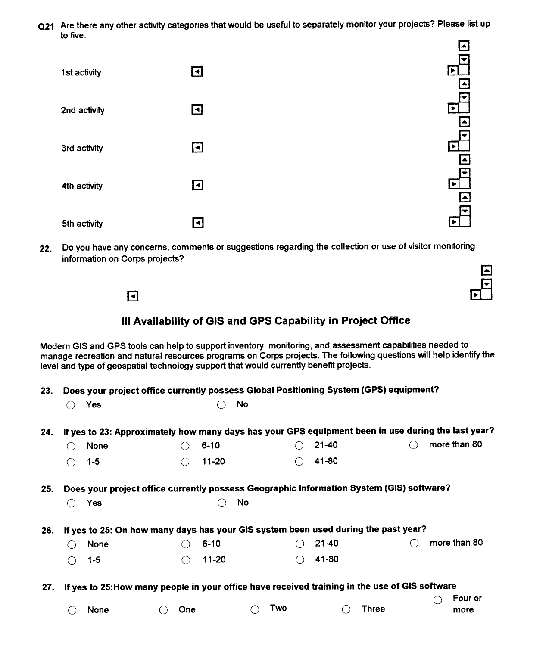Q21 Are there any other activity categories that would be useful to separately monitor your projects? Please list up to five.



22. Do you have any concerns, comments or suggestions regarding the collection or use of visitor monitoring information on Corps projects?

El

# Ill Availability of GIs and GPS Capability in Project Office

Modern GIs and GPS tools can help to support inventory, monitoring, and assessment capabilities needed to manage recreation and natural resources programs on Corps projects. The following questions will help identify the level and type of geospatial technology support that would currently benefit projects.

23. Does your project office currently possess Global Positioning System (GPS) equipment? 0 Yes 0 No

| Yes |  |
|-----|--|
|     |  |

|  |                                    |                  | 4. If yes to 23: Approximately how many days has your GPS equipment been in use during the last year? |                         |
|--|------------------------------------|------------------|-------------------------------------------------------------------------------------------------------|-------------------------|
|  | $\bigcirc$ 6-10<br>$\bigcirc$ None |                  | $\bigcirc$ 21-40                                                                                      | $\bigcirc$ more than 80 |
|  | $\bigcirc$ 1-5                     | $\bigcirc$ 11-20 | $\bigcirc$ 41-80                                                                                      |                         |

25. Does your project office currently possess Geographic Information System (GIs) software? 0 Yes C No

| $\bigcirc$ Yes | $\bigcirc$ No |  |
|----------------|---------------|--|
|                |               |  |

| 26. If yes to 25: On how many days has your GIS system been used during the past year? |                 |  |                  |  |                  |  |                         |  |
|----------------------------------------------------------------------------------------|-----------------|--|------------------|--|------------------|--|-------------------------|--|
|                                                                                        | $\bigcirc$ None |  | ◯ 6-10           |  | $\bigcirc$ 21-40 |  | $\bigcirc$ more than 80 |  |
|                                                                                        | $\bigcirc$ 1-5  |  | $\bigcirc$ 11-20 |  | $\bigcirc$ 41-80 |  |                         |  |

27. If yes to 2S:How many people in your office have received training in the use of GIs software

|                 |                |               |                  | $\bigcirc$ Four or |
|-----------------|----------------|---------------|------------------|--------------------|
| $\bigcirc$ None | $\bigcirc$ One | $\bigcap$ Two | $\bigcirc$ Three | more               |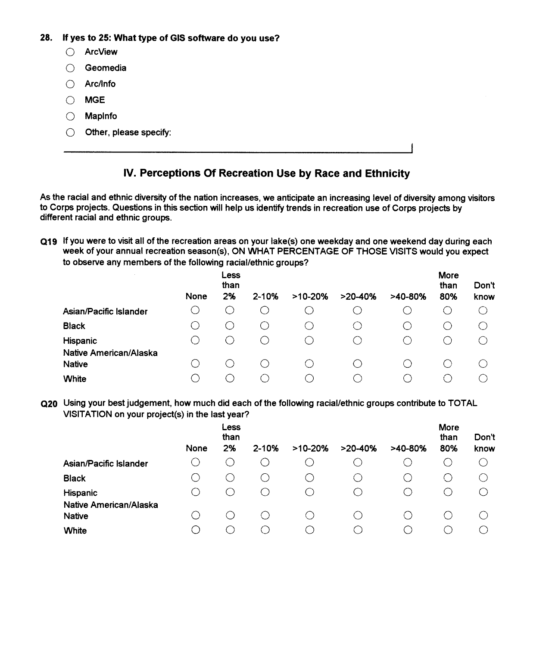- **28.** If yes to 25: What type of **GIs** software do you use?
	- 0 ArcView
	- 0 Geomedia
	- $\bigcap$  Arc/Info
	- 0 MGE
	- $\bigcirc$  Maplnfo
	- $\bigcirc$  Other, please specify:

# **IV. Perceptions Of Recreation Use by Race and Ethnicity**

As the racial and ethnic diversity of the nation increases, we anticipate an increasing level of diversity among visitors to Corps projects. Questions in this section will help us identify trends in recreation use of Corps projects by different racial and ethnic groups.

**~19** If you were to visit all of the recreation areas on your lake(s) one weekday and one weekend day during each week of your annual recreation season(s), ON WHAT PERCENTAGE OF THOSE VISITS would you expect to observe any members of the following racial/ethnic groups?

|                                         | None | Less<br>than<br>2% | $2 - 10%$ | $>10-20%$                                     | $>20-40%$ | $>40-80%$ | More<br>than<br>80% | Don't<br>know |
|-----------------------------------------|------|--------------------|-----------|-----------------------------------------------|-----------|-----------|---------------------|---------------|
| Asian/Pacific Islander                  |      |                    |           |                                               |           |           | ( )                 | ( )           |
| <b>Black</b>                            |      | - 1                | ◠         | O                                             | С.        |           |                     |               |
| Hispanic                                |      | $\cdot$ )          |           | $\left( \begin{array}{c} \end{array} \right)$ | ( )       |           |                     |               |
| Native American/Alaska<br><b>Native</b> |      |                    |           |                                               |           |           |                     |               |
| White                                   |      |                    |           | $\langle \rangle$                             | €.        |           |                     |               |

**Q20** Using your best judgement, how much did each of the following racial/ethnic groups contribute to TOTAL VISITATION on your project(s) in the last year?

|                                                  | None | Less<br>than<br>2%                            | $2 - 10%$  | $>10-20%$ | $>20-40%$                                   | $>40-80%$ | More<br>than<br>80% | Don't<br>know |
|--------------------------------------------------|------|-----------------------------------------------|------------|-----------|---------------------------------------------|-----------|---------------------|---------------|
| Asian/Pacific Islander                           |      |                                               | U          |           |                                             |           |                     | ( )           |
| <b>Black</b>                                     |      | ( )                                           | . .        | $\cdot$ ) | . )                                         |           |                     |               |
| Hispanic                                         | €    | $\left( \begin{array}{c} \end{array} \right)$ | С.         | ( )       | $\bigcirc$                                  |           |                     |               |
| Native American/Alaska<br><b>Native</b><br>White | ⊖    | $(\quad)$<br>€.                               | ( )<br>( ) |           | $\left(\begin{array}{c} \end{array}\right)$ |           |                     |               |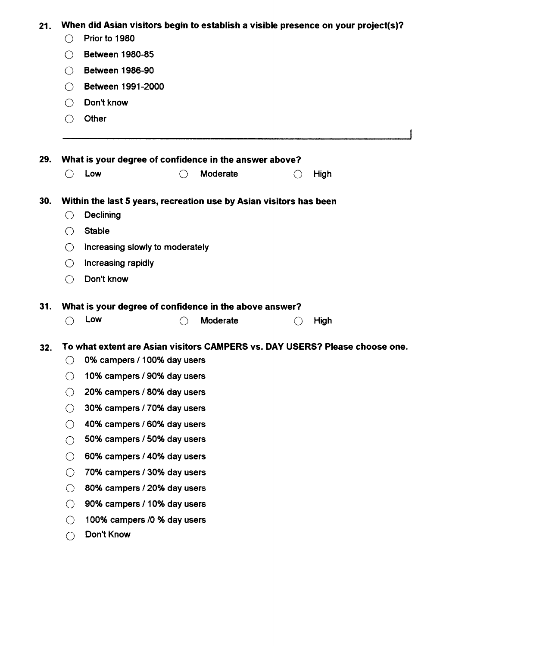|  | 21. When did Asian visitors begin to establish a visible presence on your project(s)? |  |  |  |
|--|---------------------------------------------------------------------------------------|--|--|--|
|--|---------------------------------------------------------------------------------------|--|--|--|

- 0 Prior to 1980
- 0 Between 1980-85
- 0 Between 1986-90
- 0 Between 1991 -2000
- 0 Don't know
- $\bigcirc$  Other

**29.** What is your degree of confidence in the answer above? 0 Low CJ Moderate 0 High

### **30.** Within the last 5 years, recreation use by Asian visitors has been

- 0 Declining
- 0 Stable
- $\bigcirc$  Increasing slowly to moderately
- $\bigcirc$  Increasing rapidly
- 0 Don't know

# **31.** What is your degree of confidence in the above answer? 0 Low 0 Moderate 0 High

#### To what extent are Asian visitors CAMPERS vs. DAY USERS? Please choose one.  $32.$

- $\bigcirc$  0% campers / 100% day users
- $\bigcirc$  10% campers / 90% day users
- $\bigcirc$  20% campers / 80% day users
- $\bigcirc$  30% campers / 70% day users
- 0 40% campers / 60% day users
- $\bigcirc$  50% campers / 50% day users
- $\bigcirc$  60% campers / 40% day users
- $\bigcirc$  70% campers / 30% day users
- $\bigcirc$  80% campers / 20% day users
- $\bigcirc$  90% campers / 10% day users
- $\bigcirc$  100% campers /0 % day users
- 0 Don't Know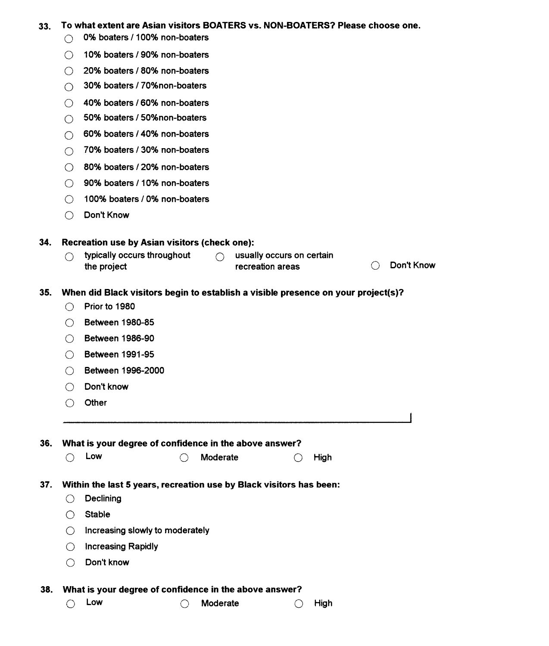# 33.  $\degree$  To what extent are Asian visitors BOATERS vs. NON-BOATERS? Please choose one.<br>① 0% boaters / 100% non-boaters

- 
- ◯ 10% boaters / 90% non-boaters
- ◯ 20% boaters / 80% non-boaters
- ◯ 30% boaters / 70%non-boaters
- ◯ 40% boaters / 60% non-boaters
- ◯ 50% boaters / 50%non-boaters
- $\bigcirc$  60% boaters / 40% non-boaters
- 0 70% boaters 130% non-boaters
- CJ 80•‹h boaters 120% non-boaters
- ◯ 90% boaters / 10% non-boaters
- ◯ 100% boaters / 0% non-boaters
- 0 Don't Know

#### **34.** Recreation use by Asian visitors (check one):

 $\bigcirc$  typically occurs throughout  $\bigcirc$  usually occurs on certain<br>the project recreation areas ypically occurs throughout control of the project recreation areas the project of Non't Know

#### 35. When did Black visitors begin to establish a visible presence on your project(s)?

- $\bigcirc$  Prior to 1980
- 0 Between 1980-85
- 0 Between 1986-90
- 0 Between 1991-95
- 0 Between 1996-2000
- 0 Don't know
- 0 Other

36. What is your degree of confidence in the above answer?<br>  $\bigcirc$  Low  $\bigcirc$  Moderate  $\bigcirc$  High

#### 37. Within the last 5 years, recreation use by Black visitors has been:

- 0 Declining
- $\bigcirc$  Stable
- $\bigcirc$  Increasing slowly to moderately
- 0 lncreasing Rapidly
- 0 Don't know

38. What is your degree of confidence in the above answer?<br>  $\bigcirc$  Low  $\bigcirc$  Moderate  $\bigcirc$  High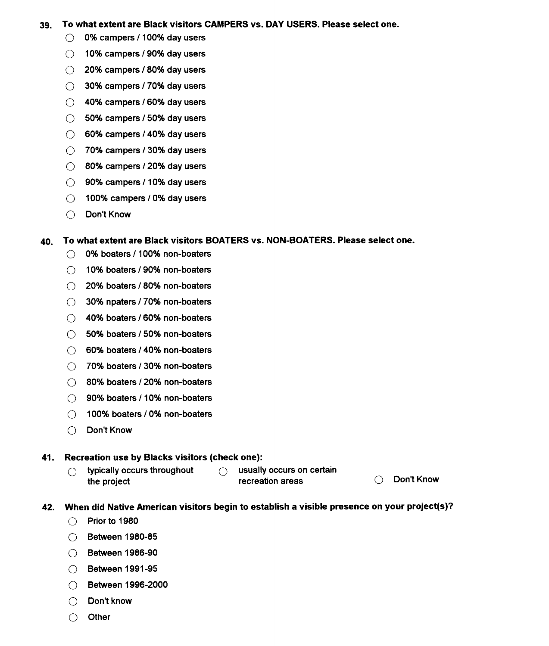#### 39. To what extent are Black visitors CAMPERS vs. DAY USERS. Please select one.

- $\bigcirc$  0% campers / 100% day users
- $\bigcirc$  10% campers / 90% day users
- $\bigcirc$  20% campers / 80% day users
- $\bigcirc$  30% campers / 70% day users
- $\bigcirc$  40% campers / 60% day users
- $\bigcirc$  50% campers / 50% day users
- $\bigcirc$  60% campers / 40% day users
- $\bigcirc$  70% campers / 30% day users
- $\bigcirc$  80% campers / 20% day users
- $\bigcirc$  90% campers / 10% day users
- $\bigcirc$  100% campers / 0% day users
- C) Don't Know

#### **40.** To what extent are Black visitors BOATERS vs. NON-BOATERS. Please select one.

- ◯ 0% boaters / 100% non-boaters
- ◯ 10% boaters / 90% non-boaters
- 0 20% boaters / 80% non-boaters
- (1) 30% npaters / 70% non-boaters
- *CJ* 40% boaters / 60% non-boaters
- ◯ 50% boaters / 50% non-boaters
- 0 60% boaters / 40% non-boaters
- ◯ 70% boaters / 30% non-boaters
- ◯ 80% boaters / 20% non-boaters
- ◯ 90% boaters / 10% non-boaters
- ◯ 100% boaters / 0% non-boaters
- 0 Don't Know

#### **41.** Recreation use by Blacks visitors (check one):

 $\bigcirc$  typically occurs throughout  $\bigcirc$  usually occurs on certain<br>the project recreation areas

 $t$  recreation areas  $\bigcirc$  Don't Know

#### 42. When did Native American visitors begin to establish a visible presence on your project(s)?

- $\bigcirc$  Prior to 1980
- @ Between 1980-85
- 0 Between 1986-90
- 0 Between 1991 -95
- 0 Between 1996-2000
- $\bigcirc$  Don't know
- 0 Other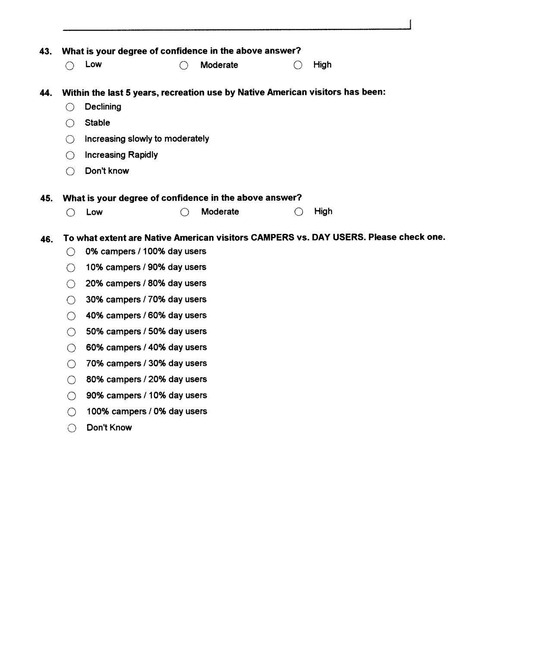| 43. |                                                 | What is your degree of confidence in the above answer?                        |   |          |                                                 |                                                                                      |
|-----|-------------------------------------------------|-------------------------------------------------------------------------------|---|----------|-------------------------------------------------|--------------------------------------------------------------------------------------|
|     | $\left(\begin{array}{c} \end{array}\right)$     | Low                                                                           |   | Moderate | $\left( \begin{array}{c} 1 \end{array} \right)$ | High                                                                                 |
|     |                                                 | Within the last 5 years, recreation use by Native American visitors has been: |   |          |                                                 |                                                                                      |
| 44. | ∩                                               | Declining                                                                     |   |          |                                                 |                                                                                      |
|     | ∩                                               | <b>Stable</b>                                                                 |   |          |                                                 |                                                                                      |
|     |                                                 |                                                                               |   |          |                                                 |                                                                                      |
|     | $\left(\right)$                                 | Increasing slowly to moderately                                               |   |          |                                                 |                                                                                      |
|     | ◯                                               | <b>Increasing Rapidly</b>                                                     |   |          |                                                 |                                                                                      |
|     | ◯                                               | Don't know                                                                    |   |          |                                                 |                                                                                      |
| 45. |                                                 | What is your degree of confidence in the above answer?                        |   |          |                                                 |                                                                                      |
|     | ∩                                               | Low                                                                           | ∩ | Moderate | ◯                                               | High                                                                                 |
|     |                                                 |                                                                               |   |          |                                                 |                                                                                      |
| 46. |                                                 |                                                                               |   |          |                                                 | To what extent are Native American visitors CAMPERS vs. DAY USERS. Please check one. |
|     | $\left( \begin{array}{c} \end{array} \right)$   | 0% campers / 100% day users                                                   |   |          |                                                 |                                                                                      |
|     | $\left( \begin{array}{c} 1 \end{array} \right)$ | 10% campers / 90% day users                                                   |   |          |                                                 |                                                                                      |
|     | $\left(\begin{array}{c} \end{array}\right)$     | 20% campers / 80% day users                                                   |   |          |                                                 |                                                                                      |
|     | ◯                                               | 30% campers / 70% day users                                                   |   |          |                                                 |                                                                                      |
|     | $\left(\begin{array}{c} \end{array}\right)$     | 40% campers / 60% day users                                                   |   |          |                                                 |                                                                                      |
|     | $\bigcirc$                                      | 50% campers / 50% day users                                                   |   |          |                                                 |                                                                                      |
|     | ◯                                               | 60% campers / 40% day users                                                   |   |          |                                                 |                                                                                      |
|     | $\bigcirc$                                      | 70% campers / 30% day users                                                   |   |          |                                                 |                                                                                      |
|     | $\bigcirc$                                      | 80% campers / 20% day users                                                   |   |          |                                                 |                                                                                      |
|     | ◯                                               | 90% campers / 10% day users                                                   |   |          |                                                 |                                                                                      |
|     | $\left(\right)$                                 | 100% campers / 0% day users                                                   |   |          |                                                 |                                                                                      |
|     | ()                                              | Don't Know                                                                    |   |          |                                                 |                                                                                      |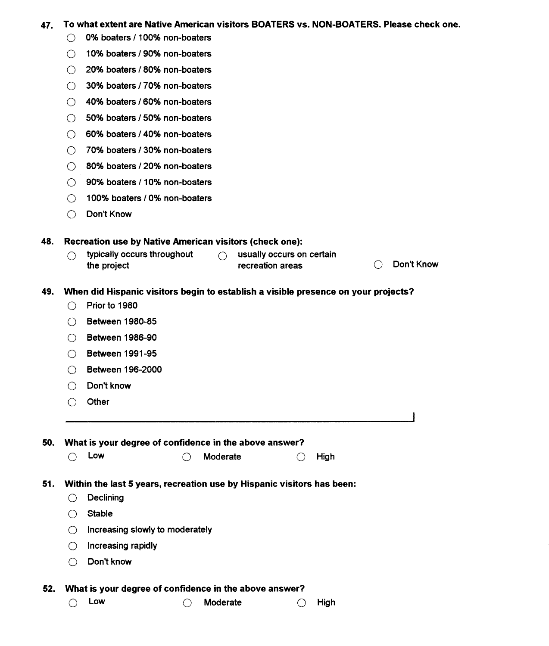#### **47.** To what extent are Native American visitors BOATERS vs. NON-BOATERS. Please check one.

- (3 **0%** boaters **1 100%** non-boaters
- 0 **10%** boaters **1 90%** non-boaters
- 0 **20%** boaters **180%** non-boaters
- 0 **30%** boaters I **70%** non-boaters
- 0 **40%** boaters **160%** non-boaters
- CJ **50%** boaters **150%** non-boaters
- 0 **60%** boaters **1 40%** non-boaters
- 0 **70%** boaters **1 30%** non-boaters
- 0 **80%** boaters **120%** non-boaters
- ◯ 90% boaters / 10% non-boaters
- Q **100%** boaters **1 0%** non-boaters
- 0 Don't Know

**48. Recreation use by Native American visitors (check one):**<br>  $\bigcirc$  typically occurs throughout  $\bigcirc$  usually occurs on certain the project **recreation areas** Don't Know

#### 49. When did Hispanic visitors begin to establish a visible presence on your projects?

- Q Prior to **<sup>1980</sup>**
- 0 Between **1980-85**
- 0 Between **1986-90**
- Q Between **1991 -95**
- 0 Between **196-2000**
- 0 Don't know
- 0 Other

50. What is your degree of confidence in the above answer?<br>  $\bigcirc$  Low  $\bigcirc$  Moderate  $\bigcirc$  High

#### 51. Within the last 5 years, recreation use by Hispanic visitors has been:

- $\bigcirc$  Declining
- $\bigcap$  Stable
- $\bigcirc$  Increasing slowly to moderately
- $\bigcirc$  Increasing rapidly
- Q Don't know

52. What is your degree of confidence in the above answer?<br>  $\bigcirc$  Low  $\bigcirc$  Moderate  $\bigcirc$  High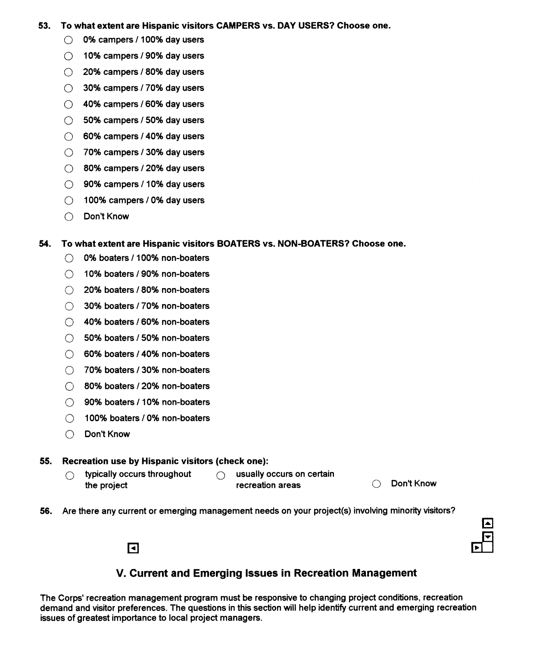# **53. To what extent are Hispanic visitors CAMPERS vs. DAY USERS? Choose one.**<br>
① 0% campers / 100% day users

- $\circledcirc$  0% campers / 100% day users<br> $\circlearrowright$  10% campers / 90% day users
- 
- $\bigcirc$  20% campers / 80% day users
- $\bigcirc$  30% campers / 70% day users
- $\bigcirc$  40% campers / 60% day users
- $\bigcirc$  50% campers / 50% day users
- $\bigcirc$  60% campers / 40% day users
- $\bigcirc$  70% campers / 30% day users
- $\bigcirc$  80% campers / 20% day users
- $\bigcirc$  90% campers / 10% day users
- $\bigcirc$  100% campers / 0% day users
- 0 Don't Know

### **54. To what extent are Hispanic visitors BOATERS vs. NON-BOATERS? Choose one.**

- ◯ 0% boaters / 100% non-boaters
- $\bigcirc$  10% boaters / 90% non-boaters
- ◯ 20% boaters / 80% non-boaters
- $\bigcirc$  30% boaters / 70% non-boaters
- $\bigcirc$  40% boaters / 60% non-boaters
- ◯ 50% boaters / 50% non-boaters
- ◯ 60% boaters / 40% non-boaters
- ◯ 70% boaters / 30% non-boaters
- ◯ 80% boaters / 20% non-boaters
- $\bigcirc$  90% boaters / 10% non-boaters
- $\bigcirc$  100% boaters / 0% non-boaters
- 13 Don't Know

## **55. Recreation use by Hispanic visitors (check one):**

 $\bigcirc$  typically occurs throughout  $\bigcirc$  usually occurs on certain<br>the project recreation areas

 $\blacksquare$ 

recreation areas **CJ** Don't Know

56. Are there any current or emerging management needs on your project(s) involving minorrty visitors?



# **V. Current and Emerging Issues in Recreation Management**

The Corps' recreation management program must be responsive to changing project conditions, recreation demand and visitor preferences. The questions in this section will help identify current and emerging recreation issues of greatest importance to local project managers.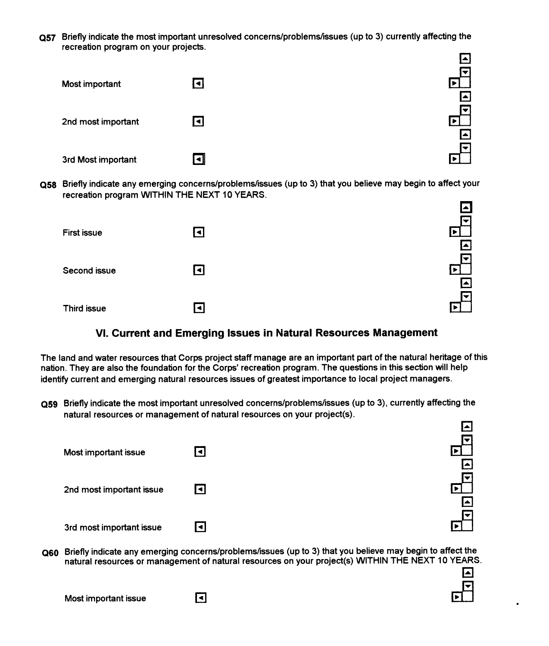Briefly indicate the most important unresolved **concerns/problems/issues** (up to 3) currently affecting the recreation program on your projects.



Q58 Briefly indicate any emerging concerns/problems/issues (up to 3) that you believe may begin to affect your recreation program WITHIN THE NEXT 10 YEARS.

|                    |                | l▲                    |
|--------------------|----------------|-----------------------|
| <b>First issue</b> | ◘              | Ħ<br>$\blacktriangle$ |
| Second issue       | $\blacksquare$ | $\blacktriangle$      |
| Third issue        | <u>اب</u>      | lv                    |

# **VI. Current and Emerging Issues in Natural Resources Management**

The land and water resources that Corps project staff manage are an important part of the natural heritage of this nation. They are also the foundation for the Corps' recreation program. The questions in this section will help identify current and emerging natural resources issues of greatest importance to local project managers.

Briefly indicate the most important unresolved **concerns/problems/issues** (up to 3), currently affecting the natural resources or management of natural resources on your project(s).

| Most important issue     | lо             |     |
|--------------------------|----------------|-----|
| 2nd most important issue | $\blacksquare$ | l^. |
| 3rd most important issue | Е              |     |

Briefly indicate any emerging **concerns/problems/issues** (up to 3) that you believe may begin to affect the natural resources or management of natural resources on your project(s) WITHIN THE NEXT 10 YEARS.

 $\mathbf{\Sigma}$ 

Most important issue  $\blacksquare$